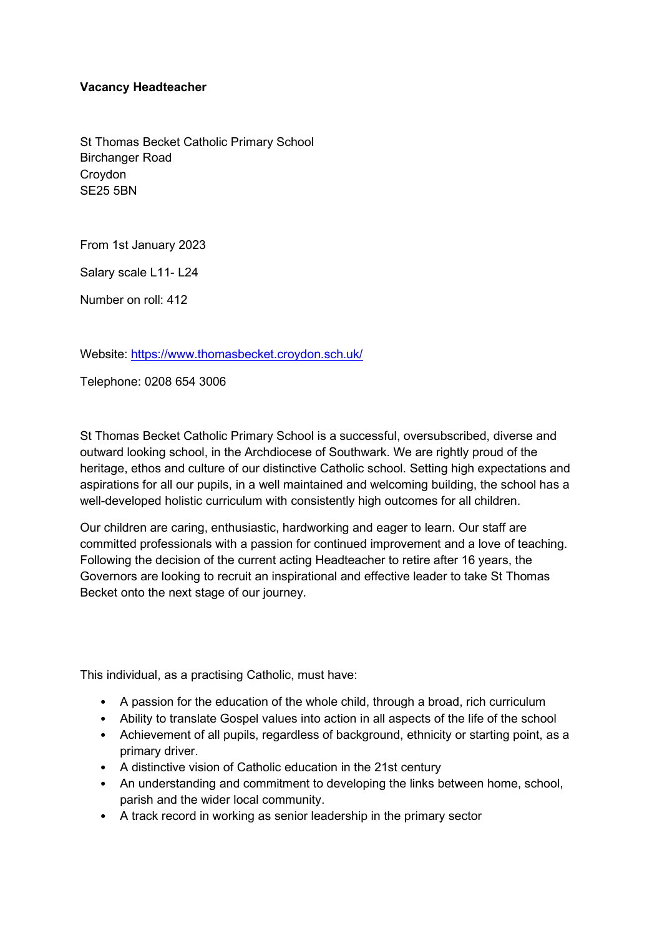## Vacancy Headteacher

St Thomas Becket Catholic Primary School Birchanger Road Croydon SE25 5BN

From 1st January 2023

Salary scale L11- L24

Number on roll: 412

Website: https://www.thomasbecket.croydon.sch.uk/

Telephone: 0208 654 3006

St Thomas Becket Catholic Primary School is a successful, oversubscribed, diverse and outward looking school, in the Archdiocese of Southwark. We are rightly proud of the heritage, ethos and culture of our distinctive Catholic school. Setting high expectations and aspirations for all our pupils, in a well maintained and welcoming building, the school has a well-developed holistic curriculum with consistently high outcomes for all children.

Our children are caring, enthusiastic, hardworking and eager to learn. Our staff are committed professionals with a passion for continued improvement and a love of teaching. Following the decision of the current acting Headteacher to retire after 16 years, the Governors are looking to recruit an inspirational and effective leader to take St Thomas Becket onto the next stage of our journey.

This individual, as a practising Catholic, must have:

- A passion for the education of the whole child, through a broad, rich curriculum
- Ability to translate Gospel values into action in all aspects of the life of the school
- Achievement of all pupils, regardless of background, ethnicity or starting point, as a primary driver.
- A distinctive vision of Catholic education in the 21st century
- An understanding and commitment to developing the links between home, school, parish and the wider local community.
- A track record in working as senior leadership in the primary sector